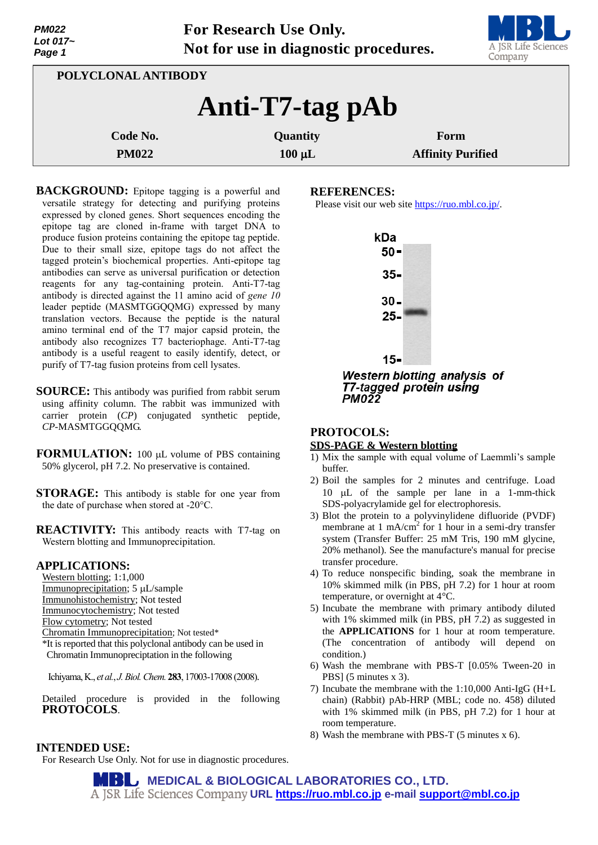| Lot 017~<br>Page 1  | Not for use in diagnostic procedures. | <b>Maria Maria Adam</b><br>A JSR Life Sciences<br>Company |
|---------------------|---------------------------------------|-----------------------------------------------------------|
| POLYCLONAL ANTIBODY |                                       |                                                           |
|                     | Anti-T7-tag pAb                       |                                                           |
| Code No.            | Quantity                              | Form                                                      |
| <b>PM022</b>        | $100 \mu L$                           | <b>Affinity Purified</b>                                  |

**For Research Use Only.**

- **BACKGROUND:** Epitope tagging is a powerful and versatile strategy for detecting and purifying proteins expressed by cloned genes. Short sequences encoding the epitope tag are cloned in-frame with target DNA to produce fusion proteins containing the epitope tag peptide. Due to their small size, epitope tags do not affect the tagged protein's biochemical properties. Anti-epitope tag antibodies can serve as universal purification or detection reagents for any tag-containing protein. Anti-T7-tag antibody is directed against the 11 amino acid of *gene 10* leader peptide (MASMTGGQQMG) expressed by many translation vectors. Because the peptide is the natural amino terminal end of the T7 major capsid protein, the antibody also recognizes T7 bacteriophage. Anti-T7-tag antibody is a useful reagent to easily identify, detect, or purify of T7-tag fusion proteins from cell lysates.
- **SOURCE:** This antibody was purified from rabbit serum using affinity column. The rabbit was immunized with carrier protein (*CP*) conjugated synthetic peptide, *CP*-MASMTGGQQMG.
- **FORMULATION:** 100 µL volume of PBS containing 50% glycerol, pH 7.2. No preservative is contained.
- **STORAGE:** This antibody is stable for one year from the date of purchase when stored at -20°C.

**REACTIVITY:** This antibody reacts with T7-tag on Western blotting and Immunoprecipitation.

#### **APPLICATIONS:**

*PM022*

- Western blotting; 1:1,000
- Immunoprecipitation; 5 µL/sample
- Immunohistochemistry; Not tested
- Immunocytochemistry; Not tested
- Flow cytometry; Not tested
- Chromatin Immunoprecipitation; Not tested\*
- \*It is reported that this polyclonal antibody can be used in Chromatin Immunopreciptation in the following
- Ichiyama,K., *et al.*, *J.Biol.Chem.***283**, 17003-17008 (2008).

Detailed procedure is provided in the following **PROTOCOLS**.

#### **INTENDED USE:**

For Research Use Only. Not for use in diagnostic procedures.

### **REFERENCES:**

Please visit our web site [https://ruo.mbl.co.jp/.](https://ruo.mbl.co.jp/)



**Western blotting analysis of T7-tagged protein using PM022** 

# **PROTOCOLS: SDS-PAGE & Western blotting**

- 1) Mix the sample with equal volume of Laemmli's sample buffer.
- 2) Boil the samples for 2 minutes and centrifuge. Load 10  $\mu$ L of the sample per lane in a 1-mm-thick SDS-polyacrylamide gel for electrophoresis.
- 3) Blot the protein to a polyvinylidene difluoride (PVDF) membrane at 1 mA/cm<sup>2</sup> for 1 hour in a semi-dry transfer system (Transfer Buffer: 25 mM Tris, 190 mM glycine, 20% methanol). See the manufacture's manual for precise transfer procedure.
- 4) To reduce nonspecific binding, soak the membrane in 10% skimmed milk (in PBS, pH 7.2) for 1 hour at room temperature, or overnight at 4°C.
- 5) Incubate the membrane with primary antibody diluted with 1% skimmed milk (in PBS, pH 7.2) as suggested in the **APPLICATIONS** for 1 hour at room temperature. (The concentration of antibody will depend on condition.)
- 6) Wash the membrane with PBS-T [0.05% Tween-20 in PBS] (5 minutes x 3).
- 7) Incubate the membrane with the 1:10,000 Anti-IgG (H+L chain) (Rabbit) pAb-HRP (MBL; code no. 458) diluted with 1% skimmed milk (in PBS, pH 7.2) for 1 hour at room temperature.
- 8) Wash the membrane with PBS-T (5 minutes x 6).

**MEDICAL & BIOLOGICAL LABORATORIES CO., LTD. URL [https://ruo.mbl.co.jp](https://ruo.mbl.co.jp/) e-mail [support@mbl.co.jp](mailto:support@mbl.co.jp)**